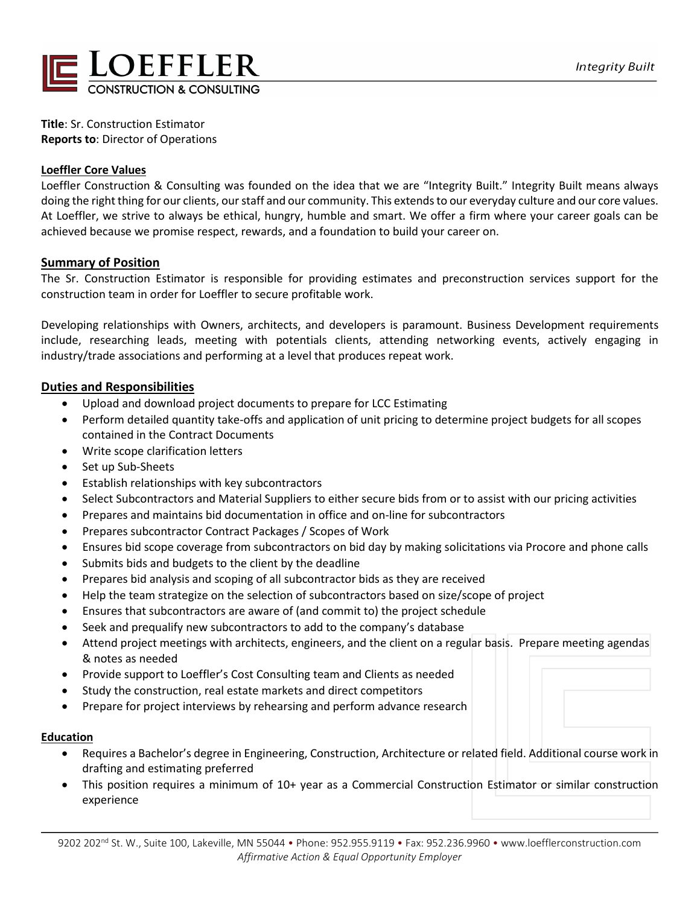

**Title**: Sr. Construction Estimator **Reports to**: Director of Operations

# **Loeffler Core Values**

Loeffler Construction & Consulting was founded on the idea that we are "Integrity Built." Integrity Built means always doing the right thing for our clients, our staff and our community. This extends to our everyday culture and our core values. At Loeffler, we strive to always be ethical, hungry, humble and smart. We offer a firm where your career goals can be achieved because we promise respect, rewards, and a foundation to build your career on.

## **Summary of Position**

The Sr. Construction Estimator is responsible for providing estimates and preconstruction services support for the construction team in order for Loeffler to secure profitable work.

Developing relationships with Owners, architects, and developers is paramount. Business Development requirements include, researching leads, meeting with potentials clients, attending networking events, actively engaging in industry/trade associations and performing at a level that produces repeat work.

## **Duties and Responsibilities**

- Upload and download project documents to prepare for LCC Estimating
- Perform detailed quantity take-offs and application of unit pricing to determine project budgets for all scopes contained in the Contract Documents
- Write scope clarification letters
- Set up Sub-Sheets
- Establish relationships with key subcontractors
- Select Subcontractors and Material Suppliers to either secure bids from or to assist with our pricing activities
- Prepares and maintains bid documentation in office and on-line for subcontractors
- Prepares subcontractor Contract Packages / Scopes of Work
- Ensures bid scope coverage from subcontractors on bid day by making solicitations via Procore and phone calls
- Submits bids and budgets to the client by the deadline
- Prepares bid analysis and scoping of all subcontractor bids as they are received
- Help the team strategize on the selection of subcontractors based on size/scope of project
- Ensures that subcontractors are aware of (and commit to) the project schedule
- Seek and prequalify new subcontractors to add to the company's database
- Attend project meetings with architects, engineers, and the client on a regular basis. Prepare meeting agendas & notes as needed
- Provide support to Loeffler's Cost Consulting team and Clients as needed
- Study the construction, real estate markets and direct competitors
- Prepare for project interviews by rehearsing and perform advance research

### **Education**

- Requires a Bachelor's degree in Engineering, Construction, Architecture or related field. Additional course work in drafting and estimating preferred
- This position requires a minimum of 10+ year as a Commercial Construction Estimator or similar construction experience